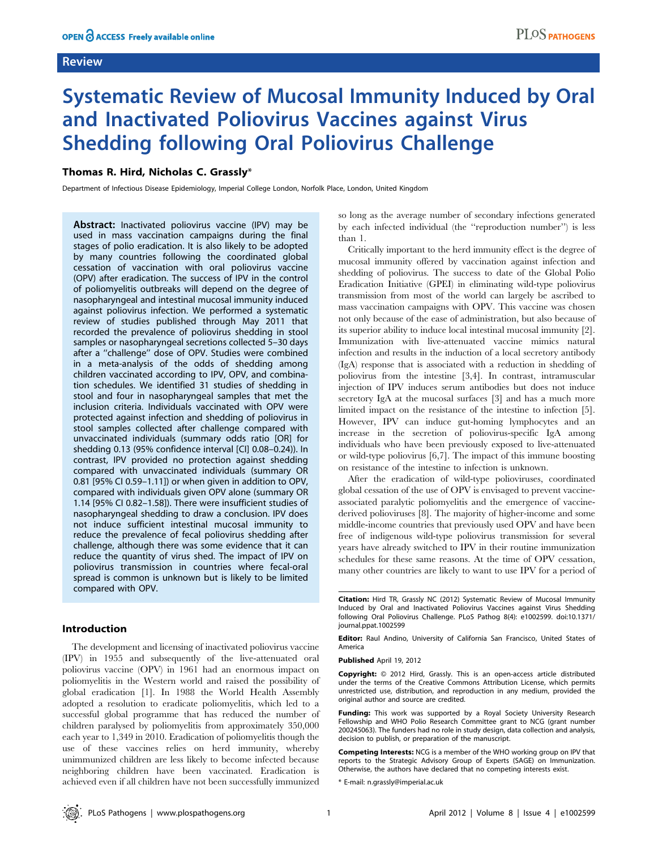## Review

# Systematic Review of Mucosal Immunity Induced by Oral and Inactivated Poliovirus Vaccines against Virus Shedding following Oral Poliovirus Challenge

## Thomas R. Hird, Nicholas C. Grassly\*

Department of Infectious Disease Epidemiology, Imperial College London, Norfolk Place, London, United Kingdom

Abstract: Inactivated poliovirus vaccine (IPV) may be used in mass vaccination campaigns during the final stages of polio eradication. It is also likely to be adopted by many countries following the coordinated global cessation of vaccination with oral poliovirus vaccine (OPV) after eradication. The success of IPV in the control of poliomyelitis outbreaks will depend on the degree of nasopharyngeal and intestinal mucosal immunity induced against poliovirus infection. We performed a systematic review of studies published through May 2011 that recorded the prevalence of poliovirus shedding in stool samples or nasopharyngeal secretions collected 5–30 days after a ''challenge'' dose of OPV. Studies were combined in a meta-analysis of the odds of shedding among children vaccinated according to IPV, OPV, and combination schedules. We identified 31 studies of shedding in stool and four in nasopharyngeal samples that met the inclusion criteria. Individuals vaccinated with OPV were protected against infection and shedding of poliovirus in stool samples collected after challenge compared with unvaccinated individuals (summary odds ratio [OR] for shedding 0.13 (95% confidence interval [CI] 0.08–0.24)). In contrast, IPV provided no protection against shedding compared with unvaccinated individuals (summary OR 0.81 [95% CI 0.59–1.11]) or when given in addition to OPV, compared with individuals given OPV alone (summary OR 1.14 [95% CI 0.82–1.58]). There were insufficient studies of nasopharyngeal shedding to draw a conclusion. IPV does not induce sufficient intestinal mucosal immunity to reduce the prevalence of fecal poliovirus shedding after challenge, although there was some evidence that it can reduce the quantity of virus shed. The impact of IPV on poliovirus transmission in countries where fecal-oral spread is common is unknown but is likely to be limited compared with OPV.

## Introduction

The development and licensing of inactivated poliovirus vaccine (IPV) in 1955 and subsequently of the live-attenuated oral poliovirus vaccine (OPV) in 1961 had an enormous impact on poliomyelitis in the Western world and raised the possibility of global eradication [1]. In 1988 the World Health Assembly adopted a resolution to eradicate poliomyelitis, which led to a successful global programme that has reduced the number of children paralysed by poliomyelitis from approximately 350,000 each year to 1,349 in 2010. Eradication of poliomyelitis though the use of these vaccines relies on herd immunity, whereby unimmunized children are less likely to become infected because neighboring children have been vaccinated. Eradication is achieved even if all children have not been successfully immunized so long as the average number of secondary infections generated by each infected individual (the ''reproduction number'') is less than 1.

Critically important to the herd immunity effect is the degree of mucosal immunity offered by vaccination against infection and shedding of poliovirus. The success to date of the Global Polio Eradication Initiative (GPEI) in eliminating wild-type poliovirus transmission from most of the world can largely be ascribed to mass vaccination campaigns with OPV. This vaccine was chosen not only because of the ease of administration, but also because of its superior ability to induce local intestinal mucosal immunity [2]. Immunization with live-attenuated vaccine mimics natural infection and results in the induction of a local secretory antibody (IgA) response that is associated with a reduction in shedding of poliovirus from the intestine [3,4]. In contrast, intramuscular injection of IPV induces serum antibodies but does not induce secretory IgA at the mucosal surfaces [3] and has a much more limited impact on the resistance of the intestine to infection [5]. However, IPV can induce gut-homing lymphocytes and an increase in the secretion of poliovirus-specific IgA among individuals who have been previously exposed to live-attenuated or wild-type poliovirus [6,7]. The impact of this immune boosting on resistance of the intestine to infection is unknown.

After the eradication of wild-type polioviruses, coordinated global cessation of the use of OPV is envisaged to prevent vaccineassociated paralytic poliomyelitis and the emergence of vaccinederived polioviruses [8]. The majority of higher-income and some middle-income countries that previously used OPV and have been free of indigenous wild-type poliovirus transmission for several years have already switched to IPV in their routine immunization schedules for these same reasons. At the time of OPV cessation, many other countries are likely to want to use IPV for a period of

Editor: Raul Andino, University of California San Francisco, United States of America

Published April 19, 2012

Copyright: © 2012 Hird, Grassly. This is an open-access article distributed under the terms of the Creative Commons Attribution License, which permits unrestricted use, distribution, and reproduction in any medium, provided the original author and source are credited.

Funding: This work was supported by a Royal Society University Research Fellowship and WHO Polio Research Committee grant to NCG (grant number 200245063). The funders had no role in study design, data collection and analysis, decision to publish, or preparation of the manuscript.

Competing Interests: NCG is a member of the WHO working group on IPV that reports to the Strategic Advisory Group of Experts (SAGE) on Immunization. Otherwise, the authors have declared that no competing interests exist.

\* E-mail: n.grassly@imperial.ac.uk

Citation: Hird TR, Grassly NC (2012) Systematic Review of Mucosal Immunity Induced by Oral and Inactivated Poliovirus Vaccines against Virus Shedding following Oral Poliovirus Challenge. PLoS Pathog 8(4): e1002599. doi:10.1371/ journal.ppat.1002599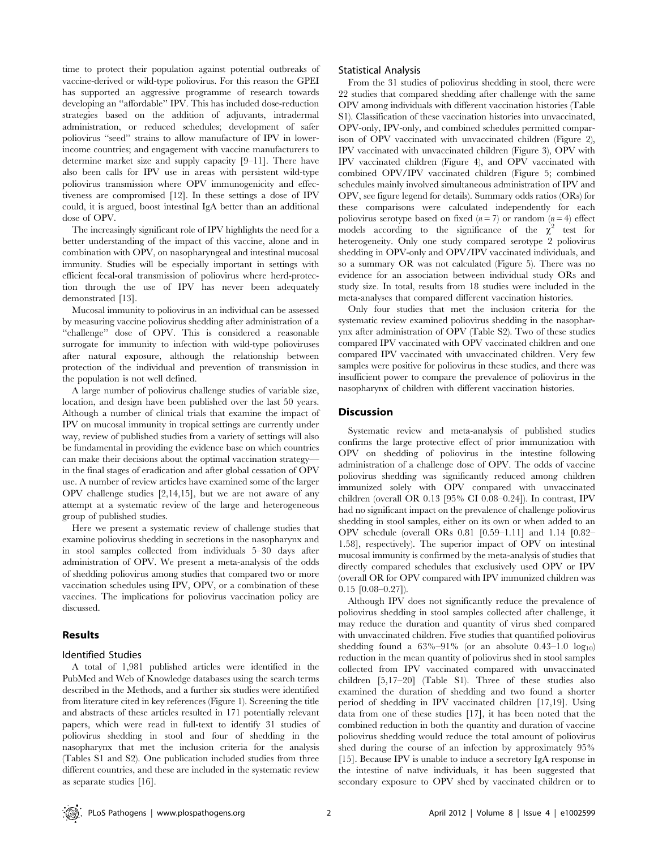time to protect their population against potential outbreaks of vaccine-derived or wild-type poliovirus. For this reason the GPEI has supported an aggressive programme of research towards developing an ''affordable'' IPV. This has included dose-reduction strategies based on the addition of adjuvants, intradermal administration, or reduced schedules; development of safer poliovirus ''seed'' strains to allow manufacture of IPV in lowerincome countries; and engagement with vaccine manufacturers to determine market size and supply capacity [9–11]. There have also been calls for IPV use in areas with persistent wild-type poliovirus transmission where OPV immunogenicity and effectiveness are compromised [12]. In these settings a dose of IPV could, it is argued, boost intestinal IgA better than an additional dose of OPV.

The increasingly significant role of IPV highlights the need for a better understanding of the impact of this vaccine, alone and in combination with OPV, on nasopharyngeal and intestinal mucosal immunity. Studies will be especially important in settings with efficient fecal-oral transmission of poliovirus where herd-protection through the use of IPV has never been adequately demonstrated [13].

Mucosal immunity to poliovirus in an individual can be assessed by measuring vaccine poliovirus shedding after administration of a ''challenge'' dose of OPV. This is considered a reasonable surrogate for immunity to infection with wild-type polioviruses after natural exposure, although the relationship between protection of the individual and prevention of transmission in the population is not well defined.

A large number of poliovirus challenge studies of variable size, location, and design have been published over the last 50 years. Although a number of clinical trials that examine the impact of IPV on mucosal immunity in tropical settings are currently under way, review of published studies from a variety of settings will also be fundamental in providing the evidence base on which countries can make their decisions about the optimal vaccination strategy in the final stages of eradication and after global cessation of OPV use. A number of review articles have examined some of the larger OPV challenge studies [2,14,15], but we are not aware of any attempt at a systematic review of the large and heterogeneous group of published studies.

Here we present a systematic review of challenge studies that examine poliovirus shedding in secretions in the nasopharynx and in stool samples collected from individuals 5–30 days after administration of OPV. We present a meta-analysis of the odds of shedding poliovirus among studies that compared two or more vaccination schedules using IPV, OPV, or a combination of these vaccines. The implications for poliovirus vaccination policy are discussed.

### Results

#### Identified Studies

A total of 1,981 published articles were identified in the PubMed and Web of Knowledge databases using the search terms described in the Methods, and a further six studies were identified from literature cited in key references (Figure 1). Screening the title and abstracts of these articles resulted in 171 potentially relevant papers, which were read in full-text to identify 31 studies of poliovirus shedding in stool and four of shedding in the nasopharynx that met the inclusion criteria for the analysis (Tables S1 and S2). One publication included studies from three different countries, and these are included in the systematic review as separate studies [16].

#### Statistical Analysis

From the 31 studies of poliovirus shedding in stool, there were 22 studies that compared shedding after challenge with the same OPV among individuals with different vaccination histories (Table S1). Classification of these vaccination histories into unvaccinated, OPV-only, IPV-only, and combined schedules permitted comparison of OPV vaccinated with unvaccinated children (Figure 2), IPV vaccinated with unvaccinated children (Figure 3), OPV with IPV vaccinated children (Figure 4), and OPV vaccinated with combined OPV/IPV vaccinated children (Figure 5; combined schedules mainly involved simultaneous administration of IPV and OPV, see figure legend for details). Summary odds ratios (ORs) for these comparisons were calculated independently for each poliovirus serotype based on fixed  $(n=7)$  or random  $(n=4)$  effect models according to the significance of the  $\chi^2$  test for heterogeneity. Only one study compared serotype 2 poliovirus shedding in OPV-only and OPV/IPV vaccinated individuals, and so a summary OR was not calculated (Figure 5). There was no evidence for an association between individual study ORs and study size. In total, results from 18 studies were included in the meta-analyses that compared different vaccination histories.

Only four studies that met the inclusion criteria for the systematic review examined poliovirus shedding in the nasopharynx after administration of OPV (Table S2). Two of these studies compared IPV vaccinated with OPV vaccinated children and one compared IPV vaccinated with unvaccinated children. Very few samples were positive for poliovirus in these studies, and there was insufficient power to compare the prevalence of poliovirus in the nasopharynx of children with different vaccination histories.

#### **Discussion**

Systematic review and meta-analysis of published studies confirms the large protective effect of prior immunization with OPV on shedding of poliovirus in the intestine following administration of a challenge dose of OPV. The odds of vaccine poliovirus shedding was significantly reduced among children immunized solely with OPV compared with unvaccinated children (overall OR 0.13 [95% CI 0.08–0.24]). In contrast, IPV had no significant impact on the prevalence of challenge poliovirus shedding in stool samples, either on its own or when added to an OPV schedule (overall ORs 0.81 [0.59–1.11] and 1.14 [0.82– 1.58], respectively). The superior impact of OPV on intestinal mucosal immunity is confirmed by the meta-analysis of studies that directly compared schedules that exclusively used OPV or IPV (overall OR for OPV compared with IPV immunized children was  $0.15$  [0.08-0.27]).

Although IPV does not significantly reduce the prevalence of poliovirus shedding in stool samples collected after challenge, it may reduce the duration and quantity of virus shed compared with unvaccinated children. Five studies that quantified poliovirus shedding found a  $63\% - 91\%$  (or an absolute 0.43–1.0 log<sub>10</sub>) reduction in the mean quantity of poliovirus shed in stool samples collected from IPV vaccinated compared with unvaccinated children [5,17–20] (Table S1). Three of these studies also examined the duration of shedding and two found a shorter period of shedding in IPV vaccinated children [17,19]. Using data from one of these studies [17], it has been noted that the combined reduction in both the quantity and duration of vaccine poliovirus shedding would reduce the total amount of poliovirus shed during the course of an infection by approximately 95% [15]. Because IPV is unable to induce a secretory IgA response in the intestine of naïve individuals, it has been suggested that secondary exposure to OPV shed by vaccinated children or to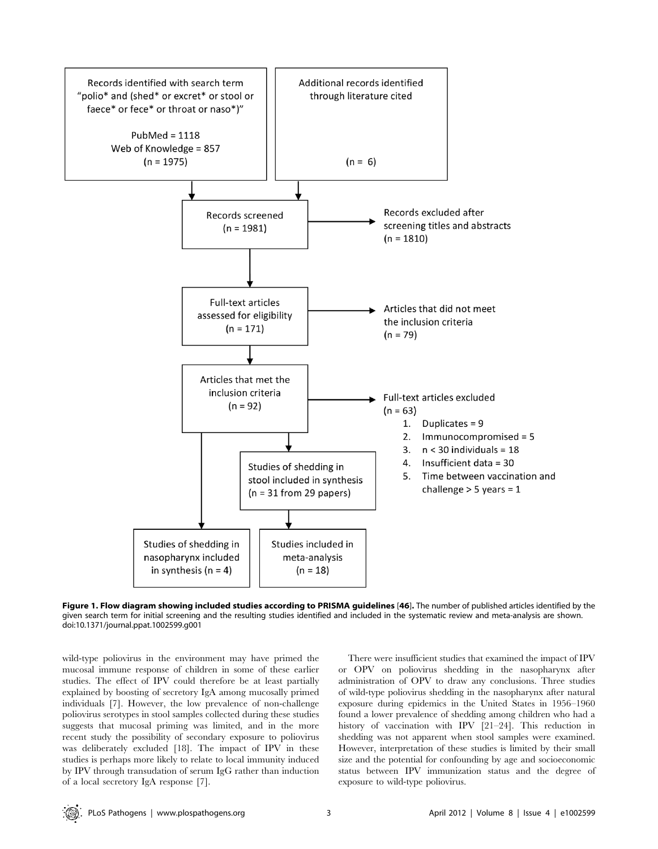

Figure 1. Flow diagram showing included studies according to PRISMA quidelines [46]. The number of published articles identified by the given search term for initial screening and the resulting studies identified and included in the systematic review and meta-analysis are shown. doi:10.1371/journal.ppat.1002599.g001

wild-type poliovirus in the environment may have primed the mucosal immune response of children in some of these earlier studies. The effect of IPV could therefore be at least partially explained by boosting of secretory IgA among mucosally primed individuals [7]. However, the low prevalence of non-challenge poliovirus serotypes in stool samples collected during these studies suggests that mucosal priming was limited, and in the more recent study the possibility of secondary exposure to poliovirus was deliberately excluded [18]. The impact of IPV in these studies is perhaps more likely to relate to local immunity induced by IPV through transudation of serum IgG rather than induction of a local secretory IgA response [7].

There were insufficient studies that examined the impact of IPV or OPV on poliovirus shedding in the nasopharynx after administration of OPV to draw any conclusions. Three studies of wild-type poliovirus shedding in the nasopharynx after natural exposure during epidemics in the United States in 1956–1960 found a lower prevalence of shedding among children who had a history of vaccination with IPV [21–24]. This reduction in shedding was not apparent when stool samples were examined. However, interpretation of these studies is limited by their small size and the potential for confounding by age and socioeconomic status between IPV immunization status and the degree of exposure to wild-type poliovirus.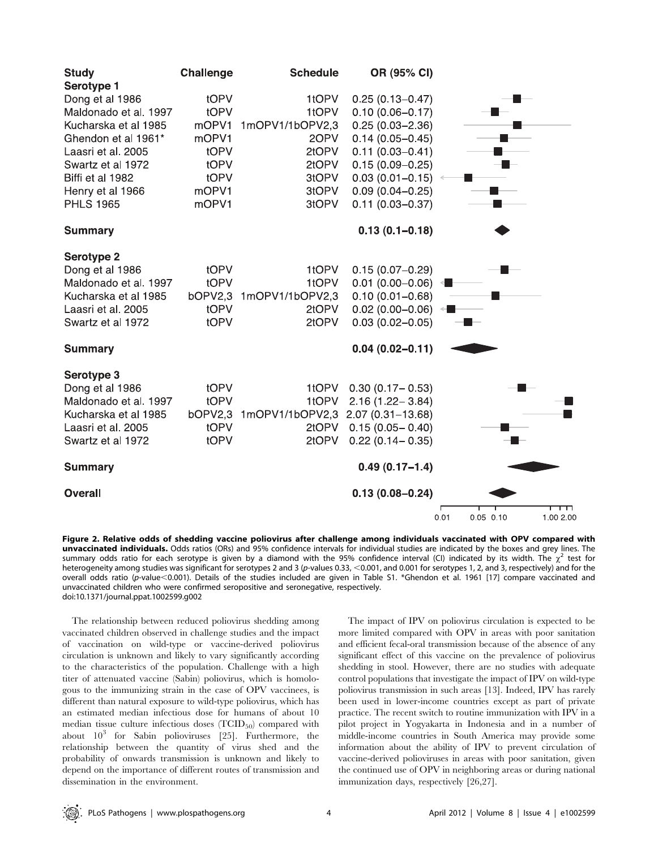

Figure 2. Relative odds of shedding vaccine poliovirus after challenge among individuals vaccinated with OPV compared with unvaccinated individuals. Odds ratios (ORs) and 95% confidence intervals for individual studies are indicated by the boxes and grey lines. The summary odds ratio for each serotype is given by a diamond with the 95% confidence interval (CI) indicated by its width. The  $\chi^2$  test for heterogeneity among studies was significant for serotypes 2 and 3 (p-values 0.33, <0.001, and 0.001 for serotypes 1, 2, and 3, respectively) and for the overall odds ratio (p-value<0.001). Details of the studies included are given in Table S1. \*Ghendon et al. 1961 [17] compare vaccinated and unvaccinated children who were confirmed seropositive and seronegative, respectively. doi:10.1371/journal.ppat.1002599.g002

The relationship between reduced poliovirus shedding among vaccinated children observed in challenge studies and the impact of vaccination on wild-type or vaccine-derived poliovirus circulation is unknown and likely to vary significantly according to the characteristics of the population. Challenge with a high titer of attenuated vaccine (Sabin) poliovirus, which is homologous to the immunizing strain in the case of OPV vaccinees, is different than natural exposure to wild-type poliovirus, which has an estimated median infectious dose for humans of about 10 median tissue culture infectious doses  $(TCID_{50})$  compared with about  $10^3$  for Sabin polioviruses [25]. Furthermore, the relationship between the quantity of virus shed and the probability of onwards transmission is unknown and likely to depend on the importance of different routes of transmission and dissemination in the environment.

The impact of IPV on poliovirus circulation is expected to be more limited compared with OPV in areas with poor sanitation and efficient fecal-oral transmission because of the absence of any significant effect of this vaccine on the prevalence of poliovirus shedding in stool. However, there are no studies with adequate control populations that investigate the impact of IPV on wild-type poliovirus transmission in such areas [13]. Indeed, IPV has rarely been used in lower-income countries except as part of private practice. The recent switch to routine immunization with IPV in a pilot project in Yogyakarta in Indonesia and in a number of middle-income countries in South America may provide some information about the ability of IPV to prevent circulation of vaccine-derived polioviruses in areas with poor sanitation, given the continued use of OPV in neighboring areas or during national immunization days, respectively [26,27].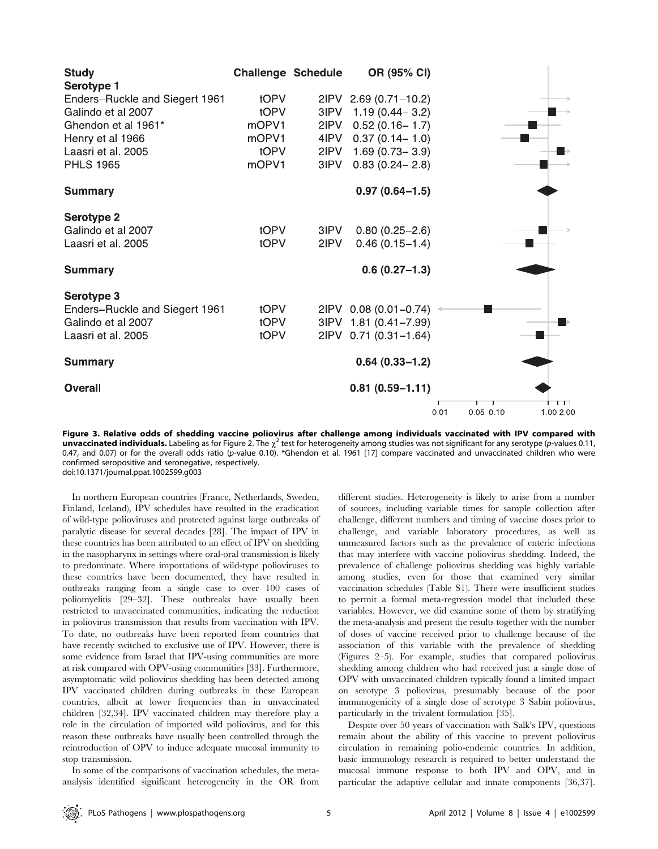

Figure 3. Relative odds of shedding vaccine poliovirus after challenge among individuals vaccinated with IPV compared with **unvaccinated individuals.** Labeling as for Figure 2. The  $\chi^2$  test for heterogeneity among studies was not significant for any serotype (*p*-values 0.11, 0.47, and 0.07) or for the overall odds ratio (p-value 0.10). \*Ghendon et al. 1961 [17] compare vaccinated and unvaccinated children who were confirmed seropositive and seronegative, respectively. doi:10.1371/journal.ppat.1002599.g003

In northern European countries (France, Netherlands, Sweden, Finland, Iceland), IPV schedules have resulted in the eradication of wild-type polioviruses and protected against large outbreaks of paralytic disease for several decades [28]. The impact of IPV in these countries has been attributed to an effect of IPV on shedding in the nasopharynx in settings where oral-oral transmission is likely to predominate. Where importations of wild-type polioviruses to these countries have been documented, they have resulted in outbreaks ranging from a single case to over 100 cases of poliomyelitis [29–32]. These outbreaks have usually been restricted to unvaccinated communities, indicating the reduction in poliovirus transmission that results from vaccination with IPV. To date, no outbreaks have been reported from countries that have recently switched to exclusive use of IPV. However, there is some evidence from Israel that IPV-using communities are more at risk compared with OPV-using communities [33]. Furthermore, asymptomatic wild poliovirus shedding has been detected among IPV vaccinated children during outbreaks in these European countries, albeit at lower frequencies than in unvaccinated children [32,34]. IPV vaccinated children may therefore play a role in the circulation of imported wild poliovirus, and for this reason these outbreaks have usually been controlled through the reintroduction of OPV to induce adequate mucosal immunity to stop transmission.

In some of the comparisons of vaccination schedules, the metaanalysis identified significant heterogeneity in the OR from different studies. Heterogeneity is likely to arise from a number of sources, including variable times for sample collection after challenge, different numbers and timing of vaccine doses prior to challenge, and variable laboratory procedures, as well as unmeasured factors such as the prevalence of enteric infections that may interfere with vaccine poliovirus shedding. Indeed, the prevalence of challenge poliovirus shedding was highly variable among studies, even for those that examined very similar vaccination schedules (Table S1). There were insufficient studies to permit a formal meta-regression model that included these variables. However, we did examine some of them by stratifying the meta-analysis and present the results together with the number of doses of vaccine received prior to challenge because of the association of this variable with the prevalence of shedding (Figures 2–5). For example, studies that compared poliovirus shedding among children who had received just a single dose of OPV with unvaccinated children typically found a limited impact on serotype 3 poliovirus, presumably because of the poor immunogenicity of a single dose of serotype 3 Sabin poliovirus, particularly in the trivalent formulation [35].

Despite over 50 years of vaccination with Salk's IPV, questions remain about the ability of this vaccine to prevent poliovirus circulation in remaining polio-endemic countries. In addition, basic immunology research is required to better understand the mucosal immune response to both IPV and OPV, and in particular the adaptive cellular and innate components [36,37].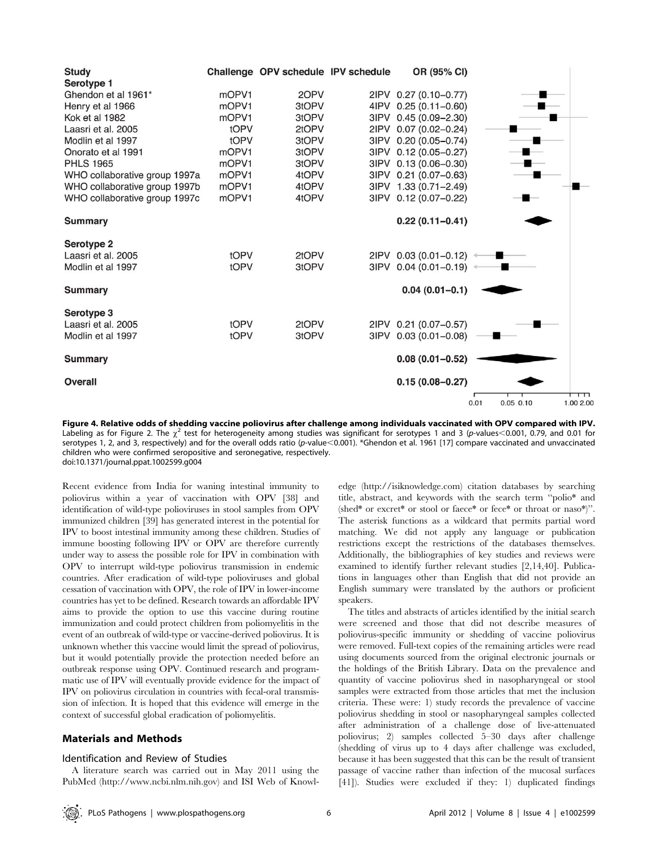| Study                         |       | Challenge OPV schedule IPV schedule | OR (95% CI)                  |                                          |
|-------------------------------|-------|-------------------------------------|------------------------------|------------------------------------------|
| Serotype 1                    |       |                                     |                              |                                          |
| Ghendon et al 1961*           | mOPV1 | 2OPV                                | 2IPV 0.27 (0.10-0.77)        |                                          |
| Henry et al 1966              | mOPV1 | 3tOPV                               | 4IPV 0.25 (0.11-0.60)        |                                          |
| Kok et al 1982                | mOPV1 | 3tOPV                               | 3IPV 0.45 (0.09-2.30)        |                                          |
| Laasri et al. 2005            | tOPV  | 2tOPV                               | 2IPV 0.07 (0.02-0.24)        |                                          |
| Modlin et al 1997             | tOPV  | 3tOPV                               | 3IPV 0.20 (0.05-0.74)        |                                          |
| Onorato et al 1991            | mOPV1 | 3tOPV                               | 3IPV 0.12 (0.05-0.27)        |                                          |
| <b>PHLS 1965</b>              | mOPV1 | 3tOPV                               | 3IPV 0.13 (0.06-0.30)        |                                          |
| WHO collaborative group 1997a | mOPV1 | 4tOPV                               | 3IPV 0.21 (0.07-0.63)        |                                          |
| WHO collaborative group 1997b | mOPV1 | 4tOPV                               | 3IPV 1.33 (0.71-2.49)        |                                          |
| WHO collaborative group 1997c | mOPV1 | 4tOPV                               | 3IPV 0.12 (0.07-0.22)        |                                          |
| <b>Summary</b>                |       |                                     | $0.22(0.11 - 0.41)$          |                                          |
| Serotype 2                    |       |                                     |                              |                                          |
| Laasri et al. 2005            | tOPV  | 2tOPV                               | 2IPV 0.03 (0.01-0.12) $\leq$ |                                          |
| Modlin et al 1997             | tOPV  | 3tOPV                               | 3IPV 0.04 (0.01-0.19) ←      |                                          |
| <b>Summary</b>                |       |                                     | $0.04(0.01 - 0.1)$           |                                          |
| Serotype 3                    |       |                                     |                              |                                          |
| Laasri et al. 2005            | tOPV  | 2tOPV                               | 2IPV 0.21 (0.07-0.57)        |                                          |
| Modlin et al 1997             | tOPV  | 3tOPV                               | 3IPV 0.03 (0.01-0.08)        |                                          |
| <b>Summary</b>                |       |                                     | $0.08(0.01 - 0.52)$          |                                          |
| Overall                       |       |                                     | $0.15(0.08 - 0.27)$          |                                          |
|                               |       |                                     |                              | TП<br>$0.05$ $0.10$<br>0.01<br>1.00 2.00 |

Figure 4. Relative odds of shedding vaccine poliovirus after challenge among individuals vaccinated with OPV compared with IPV. Labeling as for Figure 2. The  $\chi^2$  test for heterogeneity among studies was significant for serotypes 1 and 3 (p-values<0.001, 0.79, and 0.01 for serotypes 1, 2, and 3, respectively) and for the overall odds ratio (p-value<0.001). \*Ghendon et al. 1961 [17] compare vaccinated and unvaccinated children who were confirmed seropositive and seronegative, respectively. doi:10.1371/journal.ppat.1002599.g004

Recent evidence from India for waning intestinal immunity to poliovirus within a year of vaccination with OPV [38] and identification of wild-type polioviruses in stool samples from OPV immunized children [39] has generated interest in the potential for IPV to boost intestinal immunity among these children. Studies of immune boosting following IPV or OPV are therefore currently under way to assess the possible role for IPV in combination with OPV to interrupt wild-type poliovirus transmission in endemic countries. After eradication of wild-type polioviruses and global cessation of vaccination with OPV, the role of IPV in lower-income countries has yet to be defined. Research towards an affordable IPV aims to provide the option to use this vaccine during routine immunization and could protect children from poliomyelitis in the event of an outbreak of wild-type or vaccine-derived poliovirus. It is unknown whether this vaccine would limit the spread of poliovirus, but it would potentially provide the protection needed before an outbreak response using OPV. Continued research and programmatic use of IPV will eventually provide evidence for the impact of IPV on poliovirus circulation in countries with fecal-oral transmission of infection. It is hoped that this evidence will emerge in the context of successful global eradication of poliomyelitis.

## Materials and Methods

#### Identification and Review of Studies

A literature search was carried out in May 2011 using the PubMed (http://www.ncbi.nlm.nih.gov) and ISI Web of Knowledge (http://isiknowledge.com) citation databases by searching title, abstract, and keywords with the search term ''polio\* and (shed\* or excret\* or stool or faece\* or fece\* or throat or naso\*)''. The asterisk functions as a wildcard that permits partial word matching. We did not apply any language or publication restrictions except the restrictions of the databases themselves. Additionally, the bibliographies of key studies and reviews were examined to identify further relevant studies [2,14,40]. Publications in languages other than English that did not provide an English summary were translated by the authors or proficient speakers.

The titles and abstracts of articles identified by the initial search were screened and those that did not describe measures of poliovirus-specific immunity or shedding of vaccine poliovirus were removed. Full-text copies of the remaining articles were read using documents sourced from the original electronic journals or the holdings of the British Library. Data on the prevalence and quantity of vaccine poliovirus shed in nasopharyngeal or stool samples were extracted from those articles that met the inclusion criteria. These were: 1) study records the prevalence of vaccine poliovirus shedding in stool or nasopharyngeal samples collected after administration of a challenge dose of live-attenuated poliovirus; 2) samples collected 5–30 days after challenge (shedding of virus up to 4 days after challenge was excluded, because it has been suggested that this can be the result of transient passage of vaccine rather than infection of the mucosal surfaces [41]). Studies were excluded if they: 1) duplicated findings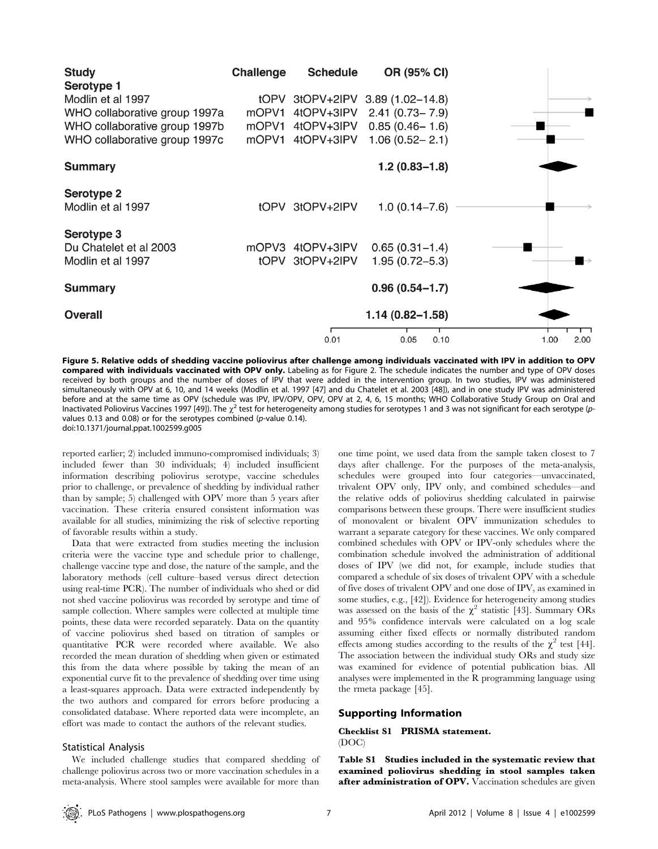| <b>Study</b>                  | Challenge | <b>Schedule</b>     | OR (95% CI)                      |              |  |  |
|-------------------------------|-----------|---------------------|----------------------------------|--------------|--|--|
| Serotype 1                    |           |                     |                                  |              |  |  |
| Modlin et al 1997             |           |                     | tOPV 3tOPV+2IPV 3.89 (1.02-14.8) |              |  |  |
| WHO collaborative group 1997a | mOPV1     |                     | 4tOPV+3IPV 2.41 (0.73-7.9)       |              |  |  |
| WHO collaborative group 1997b | mOPV1     | 4tOPV+3IPV          | $0.85(0.46 - 1.6)$               |              |  |  |
| WHO collaborative group 1997c | mOPV1     | 4tOPV+3IPV          | $1.06(0.52 - 2.1)$               |              |  |  |
|                               |           |                     |                                  |              |  |  |
| <b>Summary</b>                |           |                     | $1.2(0.83 - 1.8)$                |              |  |  |
| Serotype 2                    |           |                     |                                  |              |  |  |
| Modlin et al 1997             |           | tOPV 3tOPV+2IPV     | $1.0(0.14 - 7.6)$                |              |  |  |
|                               |           |                     |                                  |              |  |  |
| Serotype 3                    |           |                     |                                  |              |  |  |
| Du Chatelet et al 2003        | mOPV3     | 4tOPV+3IPV          | $0.65(0.31 - 1.4)$               |              |  |  |
| Modlin et al 1997             |           | tOPV 3tOPV+2IPV     | $1.95(0.72 - 5.3)$               |              |  |  |
| <b>Summary</b>                |           |                     | $0.96(0.54 - 1.7)$               |              |  |  |
|                               |           |                     |                                  |              |  |  |
| Overall                       |           | $1.14(0.82 - 1.58)$ |                                  |              |  |  |
|                               |           | 0.01                | 0.05<br>0.10                     | 2.00<br>1.00 |  |  |

Figure 5. Relative odds of shedding vaccine poliovirus after challenge among individuals vaccinated with IPV in addition to OPV compared with individuals vaccinated with OPV only. Labeling as for Figure 2. The schedule indicates the number and type of OPV doses received by both groups and the number of doses of IPV that were added in the intervention group. In two studies, IPV was administered simultaneously with OPV at 6, 10, and 14 weeks (Modlin et al. 1997 [47] and du Chatelet et al. 2003 [48]), and in one study IPV was administered before and at the same time as OPV (schedule was IPV, IPV/OPV, OPV, OPV at 2, 4, 6, 15 months; WHO Collaborative Study Group on Oral and Inactivated Poliovirus Vaccines 1997 [49]). The  $\chi^2$  test for heterogeneity among studies for serotypes 1 and 3 was not significant for each serotype (pvalues 0.13 and 0.08) or for the serotypes combined (p-value 0.14). doi:10.1371/journal.ppat.1002599.g005

reported earlier; 2) included immuno-compromised individuals; 3) included fewer than 30 individuals; 4) included insufficient information describing poliovirus serotype, vaccine schedules prior to challenge, or prevalence of shedding by individual rather than by sample; 5) challenged with OPV more than 5 years after vaccination. These criteria ensured consistent information was available for all studies, minimizing the risk of selective reporting of favorable results within a study.

Data that were extracted from studies meeting the inclusion criteria were the vaccine type and schedule prior to challenge, challenge vaccine type and dose, the nature of the sample, and the laboratory methods (cell culture–based versus direct detection using real-time PCR). The number of individuals who shed or did not shed vaccine poliovirus was recorded by serotype and time of sample collection. Where samples were collected at multiple time points, these data were recorded separately. Data on the quantity of vaccine poliovirus shed based on titration of samples or quantitative PCR were recorded where available. We also recorded the mean duration of shedding when given or estimated this from the data where possible by taking the mean of an exponential curve fit to the prevalence of shedding over time using a least-squares approach. Data were extracted independently by the two authors and compared for errors before producing a consolidated database. Where reported data were incomplete, an effort was made to contact the authors of the relevant studies.

#### Statistical Analysis

We included challenge studies that compared shedding of challenge poliovirus across two or more vaccination schedules in a meta-analysis. Where stool samples were available for more than

one time point, we used data from the sample taken closest to 7 days after challenge. For the purposes of the meta-analysis, schedules were grouped into four categories—unvaccinated, trivalent OPV only, IPV only, and combined schedules—and the relative odds of poliovirus shedding calculated in pairwise comparisons between these groups. There were insufficient studies of monovalent or bivalent OPV immunization schedules to warrant a separate category for these vaccines. We only compared combined schedules with OPV or IPV-only schedules where the combination schedule involved the administration of additional doses of IPV (we did not, for example, include studies that compared a schedule of six doses of trivalent OPV with a schedule of five doses of trivalent OPV and one dose of IPV, as examined in some studies, e.g., [42]). Evidence for heterogeneity among studies was assessed on the basis of the  $\chi^2$  statistic [43]. Summary ORs and 95% confidence intervals were calculated on a log scale assuming either fixed effects or normally distributed random effects among studies according to the results of the  $\chi^2$  test [44]. The association between the individual study ORs and study size was examined for evidence of potential publication bias. All analyses were implemented in the R programming language using the rmeta package [45].

## Supporting Information

Checklist S1 PRISMA statement. (DOC)

Table S1 Studies included in the systematic review that examined poliovirus shedding in stool samples taken after administration of OPV. Vaccination schedules are given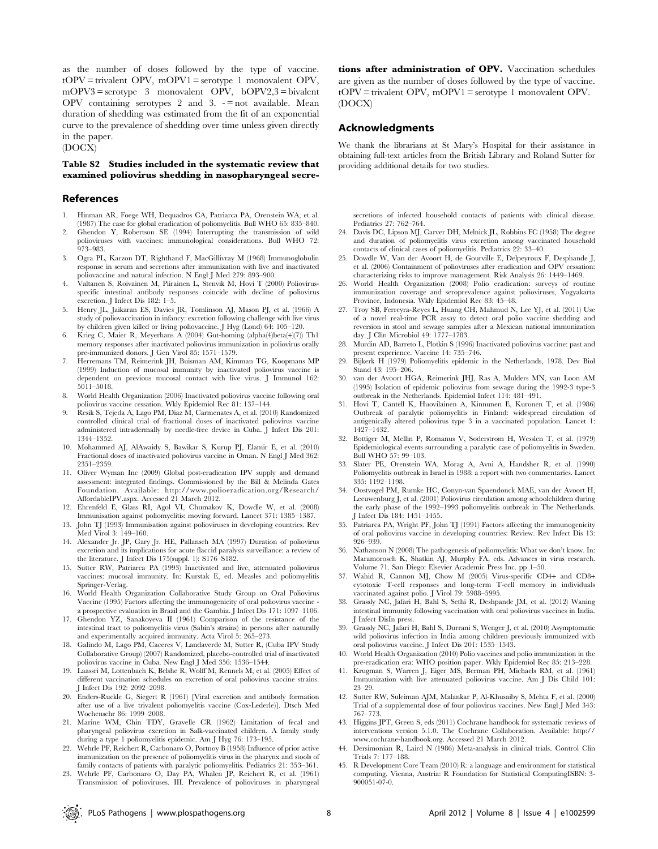as the number of doses followed by the type of vaccine. tOPV = trivalent OPV, mOPV1 = serotype 1 monovalent OPV, mOPV3 = serotype 3 monovalent OPV, bOPV2,3 = bivalent OPV containing serotypes  $2$  and  $3. -$  = not available. Mean duration of shedding was estimated from the fit of an exponential curve to the prevalence of shedding over time unless given directly in the paper.

(DOCX)

## Table S2 Studies included in the systematic review that examined poliovirus shedding in nasopharyngeal secre-

#### References

- 1. Hinman AR, Foege WH, Dequadros CA, Patriarca PA, Orenstein WA, et al. (1987) The case for global eradication of poliomyelitis. Bull WHO 65: 835–840.
- 2. Ghendon Y, Robertson SE (1994) Interrupting the transmission of wild polioviruses with vaccines: immunological considerations. Bull WHO 72: 973–983.
- 3. Ogra PL, Karzon DT, Righthand F, MacGillivray M (1968) Immunoglobulin response in serum and secretions after immunization with live and inactivated poliovaccine and natural infection. N Engl J Med 279: 893–900.
- 4. Valtanen S, Roivainen M, Piirainen L, Stenvik M, Hovi T (2000) Poliovirusspecific intestinal antibody responses coincide with decline of poliovirus excretion. J Infect Dis 182: 1–5.
- 5. Henry JL, Jaikaran ES, Davies JR, Tomlinson AJ, Mason PJ, et al. (1966) A study of poliovaccination in infancy: excretion following challenge with live virus by children given killed or living poliovaccine. J Hyg (Lond) 64: 105–120.
- 6. Krieg C, Maier R, Meyerhans A (2004) Gut-homing (alpha(4)beta(+)(7)) Th1 memory responses after inactivated poliovirus immunization in poliovirus orally pre-immunized donors. J Gen Virol 85: 1571–1579.
- 7. Herremans TM, Reimerink JH, Buisman AM, Kimman TG, Koopmans MP (1999) Induction of mucosal immunity by inactivated poliovirus vaccine is dependent on previous mucosal contact with live virus. J Immunol 162: 5011–5018.
- 8. World Health Organization (2006) Inactivated poliovirus vaccine following oral poliovirus vaccine cessation. Wkly Epidemiol Rec 81: 137–144.
- 9. Resik S, Tejeda A, Lago PM, Diaz M, Carmenates A, et al. (2010) Randomized controlled clinical trial of fractional doses of inactivated poliovirus vaccine administered intradermally by needle-free device in Cuba. J Infect Dis 201: 1344–1352.
- 10. Mohammed AJ, AlAwaidy S, Bawikar S, Kurup PJ, Elamir E, et al. (2010) Fractional doses of inactivated poliovirus vaccine in Oman. N Engl J Med 362: 2351–2359.
- 11. Oliver Wyman Inc (2009) Global post-eradication IPV supply and demand assessment: integrated findings. Commissioned by the Bill & Melinda Gates Foundation. Available: http://www.polioeradication.org/Research/ AffordableIPV.aspx. Accessed 21 March 2012.
- 12. Ehrenfeld E, Glass RI, Agol VI, Chumakov K, Dowdle W, et al. (2008) Immunisation against poliomyelitis: moving forward. Lancet 371: 1385–1387.
- 13. John TJ (1993) Immunisation against polioviruses in developing countries. Rev Med Virol 3: 149–160.
- 14. Alexander Jr. JP, Gary Jr. HE, Pallansch MA (1997) Duration of poliovirus excretion and its implications for acute flaccid paralysis surveillance: a review of the literature. J Infect Dis 175(suppl. 1): S176–S182.
- 15. Sutter RW, Patriarca PA (1993) Inactivated and live, attenuated poliovirus vaccines: mucosal immunity. In: Kurstak E, ed. Measles and poliomyelitis Springer-Verlag.
- 16. World Health Organization Collaborative Study Group on Oral Poliovirus Vaccine (1995) Factors affecting the immunogenicity of oral poliovirus vaccine a prospective evaluation in Brazil and the Gambia. J Infect Dis 171: 1097–1106.
- 17. Ghendon YZ, Sanakoyeva II (1961) Comparison of the resistance of the intestinal tract to poliomyelitis virus (Sabin's strains) in persons after naturally and experimentally acquired immunity. Acta Virol 5: 265–273.
- 18. Galindo M, Lago PM, Caceres V, Landaverde M, Sutter R, (Cuba IPV Study Collaborative Group) (2007) Randomized, placebo-controlled trial of inactivated poliovirus vaccine in Cuba. New Engl J Med 356: 1536–1544.
- 19. Laassri M, Lottenbach K, Belshe R, Wolff M, Rennels M, et al. (2005) Effect of different vaccination schedules on excretion of oral poliovirus vaccine strains. J Infect Dis 192: 2092–2098.
- 20. Enders-Ruckle G, Siegert R (1961) [Viral excretion and antibody formation after use of a live trivalent poliomyelitis vaccine (Cox-Lederle)]. Dtsch Med Wochenschr 86: 1999–2008.
- 21. Marine WM, Chin TDY, Gravelle CR (1962) Limitation of fecal and pharyngeal poliovirus excretion in Salk-vaccinated children. A family study during a type 1 poliomyelitis epidemic. Am J Hyg 76: 173–195.
- 22. Wehrle PF, Reichert R, Carbonaro O, Portnoy B (1958) Influence of prior active immunization on the presence of poliomyelitis virus in the pharynx and stools of family contacts of patients with paralytic poliomyelitis. Pediatrics 21: 353–361.
- 23. Wehrle PF, Carbonaro O, Day PA, Whalen JP, Reichert R, et al. (1961) Transmission of polioviruses. III. Prevalence of polioviruses in pharyngeal

tions after administration of OPV. Vaccination schedules are given as the number of doses followed by the type of vaccine. tOPV = trivalent OPV, mOPV1 = serotype 1 monovalent OPV. (DOCX)

## Acknowledgments

We thank the librarians at St Mary's Hospital for their assistance in obtaining full-text articles from the British Library and Roland Sutter for providing additional details for two studies.

secretions of infected household contacts of patients with clinical disease. Pediatrics 27: 762–764.

- 24. Davis DC, Lipson MJ, Carver DH, Melnick JL, Robbins FC (1958) The degree and duration of poliomyelitis virus excretion among vaccinated household contacts of clinical cases of poliomyelitis. Pediatrics 22: 33–40.
- 25. Dowdle W, Van der Avoort H, de Gourville E, Delpeyroux F, Desphande J, et al. (2006) Containment of polioviruses after eradication and OPV cessation: characterizing risks to improve management. Risk Analysis 26: 1449–1469.
- 26. World Health Organization (2008) Polio eradication: surveys of routine immunization coverage and seroprevalence against polioviruses, Yogyakarta Province, Indonesia. Wkly Epidemiol Rec 83: 45–48.
- 27. Troy SB, Ferreyra-Reyes L, Huang CH, Mahmud N, Lee YJ, et al. (2011) Use of a novel real-time PCR assay to detect oral polio vaccine shedding and reversion in stool and sewage samples after a Mexican national immunization day. J Clin Microbiol 49: 1777–1783.
- 28. Murdin AD, Barreto L, Plotkin S (1996) Inactivated poliovirus vaccine: past and present experience. Vaccine 14: 735–746.
- 29. Bijkerk H (1979) Poliomyelitis epidemic in the Netherlands, 1978. Dev Biol Stand 43: 195–206.
- 30. van der Avoort HGA, Reimerink JHJ, Ras A, Mulders MN, van Loon AM (1995) Isolation of epidemic poliovirus from sewage during the 1992-3 type-3 outbreak in the Netherlands. Epidemiol Infect 114: 481–491.
- 31. Hovi T, Cantell K, Huovilainen A, Kinnunen E, Kuronen T, et al. (1986) Outbreak of paralytic poliomyelitis in Finland: widespread circulation of antigenically altered poliovirus type 3 in a vaccinated population. Lancet 1: 1427–1432.
- 32. Bottiger M, Mellin P, Romanus V, Soderstrom H, Wesslen T, et al. (1979) Epidemiological events surrounding a paralytic case of poliomyelitis in Sweden. Bull WHO 57: 99–103.
- 33. Slater PE, Orenstein WA, Morag A, Avni A, Handsher R, et al. (1990) Poliomyelitis outbreak in Israel in 1988: a report with two commentaries. Lancet 335: 1192–1198.
- 34. Oostvogel PM, Rumke HC, Conyn-van Spaendonck MAE, van der Avoort H, Leeuwenburg J, et al. (2001) Poliovirus circulation among schoolchildren during the early phase of the 1992–1993 poliomyelitis outbreak in The Netherlands. J Infect Dis 184: 1451–1455.
- 35. Patriarca PA, Wright PF, John TJ (1991) Factors affecting the immunogenicity of oral poliovirus vaccine in developing countries: Review. Rev Infect Dis 13: 926–939.
- 36. Nathanson N (2008) The pathogenesis of poliomyelitis: What we don't know. In: Maramorosch K, Shatkin AJ, Murphy FA, eds. Advances in virus research. Volume 71. San Diego: Elsevier Academic Press Inc. pp 1–50.
- 37. Wahid R, Cannon MJ, Chow M (2005) Virus-specific CD4+ and CD8+ cytotoxic T-cell responses and long-term T-cell memory in individuals vaccinated against polio. J Virol 79: 5988–5995.
- 38. Grassly NC, Jafari H, Bahl S, Sethi R, Deshpande JM, et al. (2012) Waning intestinal immunity following vaccination with oral poliovirus vaccines in India. J Infect DisIn press.
- 39. Grassly NC, Jafari H, Bahl S, Durrani S, Wenger J, et al. (2010) Asymptomatic wild poliovirus infection in India among children previously immunized with oral poliovirus vaccine. J Infect Dis 201: 1535–1543.
- 40. World Health Organization (2010) Polio vaccines and polio immunization in the pre-eradication era: WHO position paper. Wkly Epidemiol Rec 85: 213–228.
- 41. Krugman S, Warren J, Eiger MS, Berman PH, Michaels RM, et al. (1961) Immunization with live attenuated poliovirus vaccine. Am J Dis Child 101: 23–29.
- 42. Sutter RW, Suleiman AJM, Malankar P, Al-Khusaiby S, Mehta F, et al. (2000) Trial of a supplemental dose of four poliovirus vaccines. New Engl J Med 343: 767–773.
- 43. Higgins JPT, Green S, eds (2011) Cochrane handbook for systematic reviews of interventions version 5.1.0. The Cochrane Collaboration. Available: http:// www.cochrane-handbook.org. Accessed 21 March 2012.
- 44. Dersimonian R, Laird N (1986) Meta-analysis in clinical trials. Control Clin Trials 7: 177–188.
- 45. R Development Core Team (2010) R: a language and environment for statistical computing. Vienna, Austria: R Foundation for Statistical ComputingISBN: 3- 900051-07-0.